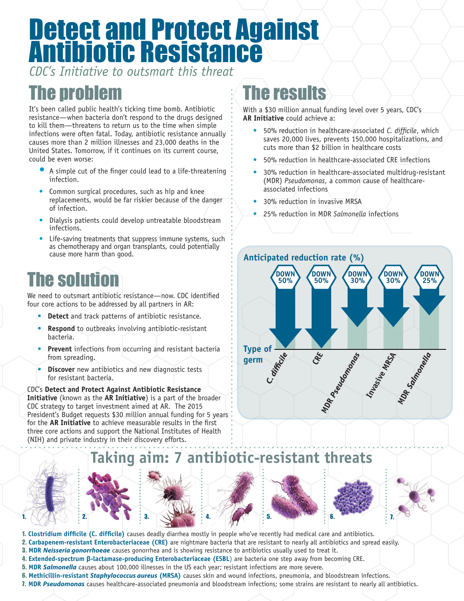# Detect and Protect Against Antibiotic Resistance

*CDC's Initiative to outsmart this threat*

### The problem

It's been called public health's ticking time bomb. Antibiotic resistance—when bacteria don't respond to the drugs designed to kill them—threatens to return us to the time when simple infections were often fatal. Today, antibiotic resistance annually causes more than 2 million illnesses and 23,000 deaths in the United States. Tomorrow, if it continues on its current course, could be even worse:

- A simple cut of the finger could lead to a life-threatening infection.
- Common surgical procedures, such as hip and knee replacements, would be far riskier because of the danger of infection.
- Dialysis patients could develop untreatable bloodstream infections.
- Life-saving treatments that suppress immune systems, such as chemotherapy and organ transplants, could potentially cause more harm than good.

## **he soluti**

We need to outsmart antibiotic resistance—now. CDC identified four core actions to be addressed by all partners in AR:

- **Detect** and track patterns of antibiotic resistance.
- **Respond** to outbreaks involving antibiotic-resistant bacteria.
- **Prevent** infections from occurring and resistant bacteria from spreading.
- **Discover** new antibiotics and new diagnostic tests for resistant bacteria.

CDC's **Detect and Protect Against Antibiotic Resistance Initiative** (known as the **AR Initiative**) is a part of the broader CDC strategy to target investment aimed at AR. The 2015 President's Budget requests \$30 million annual funding for 5 years for the **AR Initiative** to achieve measurable results in the first three core actions and support the National Institutes of Health (NIH) and private industry in their discovery efforts.

#### The results

With a \$30 million annual funding level over 5 years, CDC's **AR Initiative** could achieve a:

- 50% reduction in healthcare-associated *C. difficile*, which saves 20,000 lives, prevents 150,000 hospitalizations, and cuts more than \$2 billion in healthcare costs
- 50% reduction in healthcare-associated CRE infections
- 30% reduction in healthcare-associated multidrug-resistant (MDR) *Pseudomonas*, a common cause of healthcareassociated infections
- 30% reduction in invasive MRSA
- 25% reduction in MDR *Salmonella* infections



#### **Taking aim: 7 antibiotic-resistant threats**











1. **Clostridium difficile (C. difficile)** causes deadly diarrhea mostly in people who've recently had medical care and antibiotics.

- 2. **Carbapenem-resistant Enterobacteriaceae (CRE)** are nightmare bacteria that are resistant to nearly all antibiotics and spread easily.
- 3. **MDR** *Neisseria gonorrhoeae* causes gonorrhea and is showing resistance to antibiotics usually used to treat it.
- 4. **Extended-spectrum β-lactamase-producing Enterobacteriaceae (ESBL**) are bacteria one step away from becoming CRE. 5. **MDR** *Salmonella* causes about 100,000 illnesses in the US each year; resistant infections are more severe.
- 6. **Methicillin-resistant** *Staphylococcus aureus* **(MRSA)** causes skin and wound infections, pneumonia, and bloodstream infections.
- 7. **MDR** *Pseudomonas* causes healthcare-associated pneumonia and bloodstream infections; some strains are resistant to nearly all antibiotics.